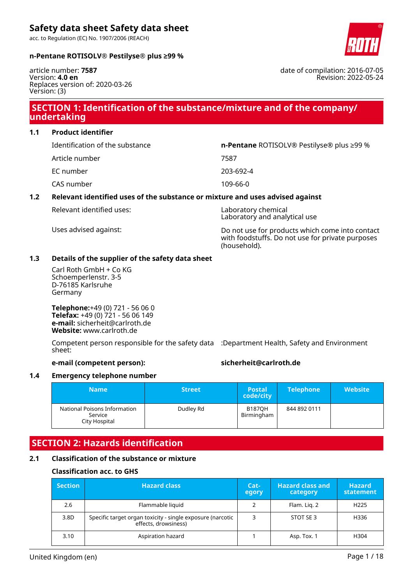acc. to Regulation (EC) No. 1907/2006 (REACH)



#### **n-Pentane ROTISOLV® Pestilyse® plus ≥99 %**

article number: **7587** Version: **4.0 en** Replaces version of: 2020-03-26 Version: (3)

### **SECTION 1: Identification of the substance/mixture and of the company/ undertaking**

**1.1 Product identifier**

| Identification of the substance | <b>n-Pentane</b> ROTISOLV® Pestilyse® plus $\geq$ 99 % |
|---------------------------------|--------------------------------------------------------|
| Article number                  | 7587                                                   |
| EC number                       | 203-692-4                                              |
| CAS number                      | 109-66-0                                               |

### **1.2 Relevant identified uses of the substance or mixture and uses advised against**

Relevant identified uses: Laboratory chemical

Laboratory and analytical use

Uses advised against: Do not use for products which come into contact with foodstuffs. Do not use for private purposes (household).

#### **1.3 Details of the supplier of the safety data sheet**

Carl Roth GmbH + Co KG Schoemperlenstr. 3-5 D-76185 Karlsruhe Germany

**Telephone:**+49 (0) 721 - 56 06 0 **Telefax:** +49 (0) 721 - 56 06 149 **e-mail:** sicherheit@carlroth.de **Website:** www.carlroth.de

Competent person responsible for the safety data :Department Health, Safety and Environment sheet:

#### **e-mail (competent person): sicherheit@carlroth.de**

#### **1.4 Emergency telephone number**

| <b>Name</b>                                              | <b>Street</b> | <b>Postal</b><br>code/city  | <b>Telephone</b> | <b>Website</b> |
|----------------------------------------------------------|---------------|-----------------------------|------------------|----------------|
| National Poisons Information<br>Service<br>City Hospital | Dudley Rd     | <b>B187OH</b><br>Birmingham | 844 892 0111     |                |

### **SECTION 2: Hazards identification**

#### **2.1 Classification of the substance or mixture**

#### **Classification acc. to GHS**

| <b>Section</b> | <b>Hazard class</b>                                                                | Cat-<br>egory | <b>Hazard class and</b><br>category | <b>Hazard</b><br>statement |
|----------------|------------------------------------------------------------------------------------|---------------|-------------------------------------|----------------------------|
| 2.6            | Flammable liquid                                                                   |               | Flam. Lig. 2                        | H <sub>225</sub>           |
| 3.8D           | Specific target organ toxicity - single exposure (narcotic<br>effects, drowsiness) | 3             | STOT SE 3                           | H336                       |
| 3.10           | Aspiration hazard                                                                  |               | Asp. Tox. 1                         | H304                       |

date of compilation: 2016-07-05 Revision: 2022-05-24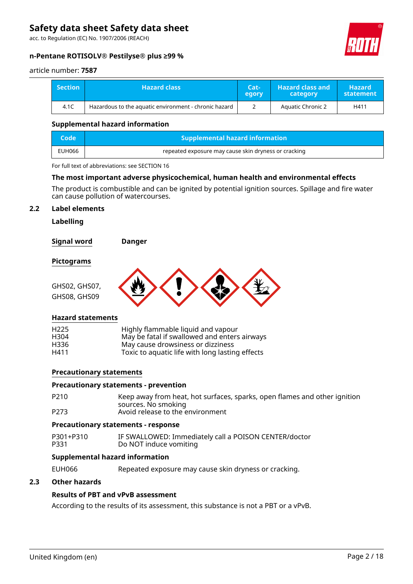acc. to Regulation (EC) No. 1907/2006 (REACH)



#### **n-Pentane ROTISOLV® Pestilyse® plus ≥99 %**

#### article number: **7587**

| <b>Section</b> | <b>Hazard class</b>                                   | Cat-<br>egory | <b>Hazard class and</b><br>category | <b>Hazard</b><br>statement |
|----------------|-------------------------------------------------------|---------------|-------------------------------------|----------------------------|
| 4.1C           | Hazardous to the aquatic environment - chronic hazard |               | <b>Aquatic Chronic 2</b>            | H411                       |

#### **Supplemental hazard information**

| Code   | <b>Supplemental hazard information</b>               |
|--------|------------------------------------------------------|
| EUH066 | repeated exposure may cause skin dryness or cracking |

For full text of abbreviations: see SECTION 16

#### **The most important adverse physicochemical, human health and environmental effects**

The product is combustible and can be ignited by potential ignition sources. Spillage and fire water can cause pollution of watercourses.

#### **2.2 Label elements**

**Labelling**

**Signal word Danger**

#### **Pictograms**



#### **Hazard statements**

| H <sub>225</sub> | Highly flammable liquid and vapour              |
|------------------|-------------------------------------------------|
| H304             | May be fatal if swallowed and enters airways    |
| H336             | May cause drowsiness or dizziness               |
| H411             | Toxic to aquatic life with long lasting effects |

#### **Precautionary statements**

#### **Precautionary statements - prevention**

| P210 | Keep away from heat, hot surfaces, sparks, open flames and other ignition |
|------|---------------------------------------------------------------------------|
|      | sources. No smoking                                                       |
| P273 | Avoid release to the environment                                          |

#### **Precautionary statements - response**

P301+P310 IF SWALLOWED: Immediately call a POISON CENTER/doctor Do NOT induce vomiting

#### **Supplemental hazard information**

EUH066 Repeated exposure may cause skin dryness or cracking.

#### **2.3 Other hazards**

#### **Results of PBT and vPvB assessment**

According to the results of its assessment, this substance is not a PBT or a vPvB.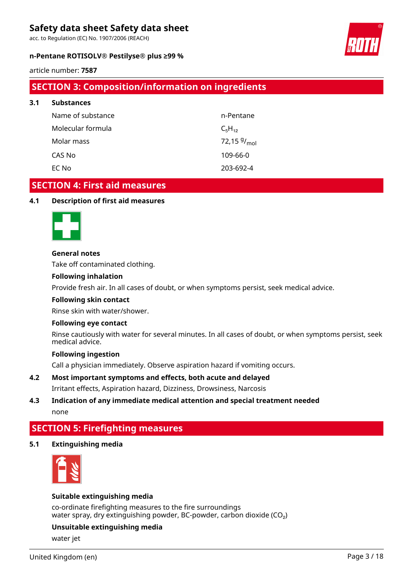acc. to Regulation (EC) No. 1907/2006 (REACH)

#### **n-Pentane ROTISOLV® Pestilyse® plus ≥99 %**



article number: **7587**

**3.1 Substances**

## **SECTION 3: Composition/information on ingredients**

| <b>Substances</b> |                  |
|-------------------|------------------|
| Name of substance | n-Pentane        |
| Molecular formula | $C_5H_{12}$      |
| Molar mass        | 72,15 $9/_{mol}$ |
| CAS No            | 109-66-0         |
| EC No             | 203-692-4        |

### **SECTION 4: First aid measures**

#### **4.1 Description of first aid measures**



#### **General notes**

Take off contaminated clothing.

#### **Following inhalation**

Provide fresh air. In all cases of doubt, or when symptoms persist, seek medical advice.

#### **Following skin contact**

Rinse skin with water/shower.

#### **Following eye contact**

Rinse cautiously with water for several minutes. In all cases of doubt, or when symptoms persist, seek medical advice.

#### **Following ingestion**

Call a physician immediately. Observe aspiration hazard if vomiting occurs.

**4.2 Most important symptoms and effects, both acute and delayed** Irritant effects, Aspiration hazard, Dizziness, Drowsiness, Narcosis

#### **4.3 Indication of any immediate medical attention and special treatment needed** none

# **SECTION 5: Firefighting measures**

#### **5.1 Extinguishing media**



#### **Suitable extinguishing media**

co-ordinate firefighting measures to the fire surroundings water spray, dry extinguishing powder, BC-powder, carbon dioxide  $(CO<sub>2</sub>)$ 

#### **Unsuitable extinguishing media**

water jet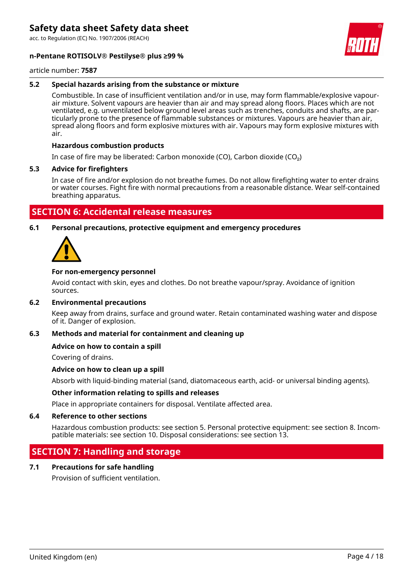acc. to Regulation (EC) No. 1907/2006 (REACH)

#### **n-Pentane ROTISOLV® Pestilyse® plus ≥99 %**



article number: **7587**

#### **5.2 Special hazards arising from the substance or mixture**

Combustible. In case of insufficient ventilation and/or in use, may form flammable/explosive vapourair mixture. Solvent vapours are heavier than air and may spread along floors. Places which are not ventilated, e.g. unventilated below ground level areas such as trenches, conduits and shafts, are particularly prone to the presence of flammable substances or mixtures. Vapours are heavier than air, spread along floors and form explosive mixtures with air. Vapours may form explosive mixtures with air.

#### **Hazardous combustion products**

In case of fire may be liberated: Carbon monoxide (CO), Carbon dioxide (CO₂)

#### **5.3 Advice for firefighters**

In case of fire and/or explosion do not breathe fumes. Do not allow firefighting water to enter drains or water courses. Fight fire with normal precautions from a reasonable distance. Wear self-contained breathing apparatus.

### **SECTION 6: Accidental release measures**

**6.1 Personal precautions, protective equipment and emergency procedures**



#### **For non-emergency personnel**

Avoid contact with skin, eyes and clothes. Do not breathe vapour/spray. Avoidance of ignition sources.

#### **6.2 Environmental precautions**

Keep away from drains, surface and ground water. Retain contaminated washing water and dispose of it. Danger of explosion.

#### **6.3 Methods and material for containment and cleaning up**

#### **Advice on how to contain a spill**

Covering of drains.

#### **Advice on how to clean up a spill**

Absorb with liquid-binding material (sand, diatomaceous earth, acid- or universal binding agents).

#### **Other information relating to spills and releases**

Place in appropriate containers for disposal. Ventilate affected area.

#### **6.4 Reference to other sections**

Hazardous combustion products: see section 5. Personal protective equipment: see section 8. Incompatible materials: see section 10. Disposal considerations: see section 13.

### **SECTION 7: Handling and storage**

#### **7.1 Precautions for safe handling**

Provision of sufficient ventilation.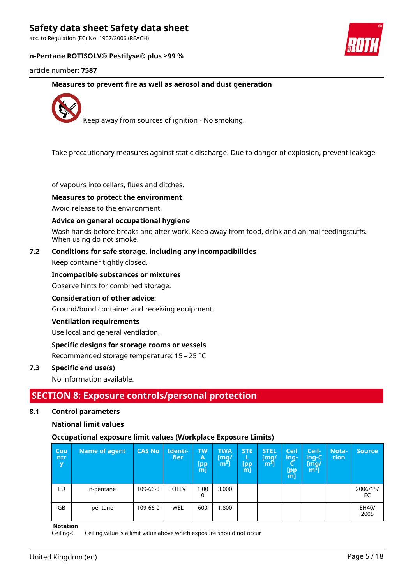acc. to Regulation (EC) No. 1907/2006 (REACH)

#### **n-Pentane ROTISOLV® Pestilyse® plus ≥99 %**



article number: **7587**

**Measures to prevent fire as well as aerosol and dust generation**



Keep away from sources of ignition - No smoking.

Take precautionary measures against static discharge. Due to danger of explosion, prevent leakage

of vapours into cellars, flues and ditches.

#### **Measures to protect the environment**

Avoid release to the environment.

#### **Advice on general occupational hygiene**

Wash hands before breaks and after work. Keep away from food, drink and animal feedingstuffs. When using do not smoke.

#### **7.2 Conditions for safe storage, including any incompatibilities**

Keep container tightly closed.

#### **Incompatible substances or mixtures**

Observe hints for combined storage.

#### **Consideration of other advice:**

Ground/bond container and receiving equipment.

#### **Ventilation requirements**

Use local and general ventilation.

#### **Specific designs for storage rooms or vessels**

Recommended storage temperature: 15 – 25 °C

#### **7.3 Specific end use(s)**

No information available.

### **SECTION 8: Exposure controls/personal protection**

#### **8.1 Control parameters**

#### **National limit values**

#### **Occupational exposure limit values (Workplace Exposure Limits)**

| Cou<br>ntr<br>y | Name of agent | <b>CAS No</b> | Identi-<br>fier | <b>TW</b><br>Α<br>[pp<br>$m$ ] | <b>TWA</b><br>$\lceil \mathsf{mq}/ \rceil$<br>m <sup>3</sup> | STE:<br>L<br>[pp<br>m | <b>STEL</b><br>$\mathsf{[mq]}$<br>m <sup>3</sup> | <b>Ceil</b><br>ing-<br>[pp<br>$m$ ] | Ceil-<br>$inq-C$<br>$\lceil \mathsf{mq} \rceil$<br>m <sup>3</sup> | Nota-<br>tion | <b>Source</b>  |
|-----------------|---------------|---------------|-----------------|--------------------------------|--------------------------------------------------------------|-----------------------|--------------------------------------------------|-------------------------------------|-------------------------------------------------------------------|---------------|----------------|
| EU              | n-pentane     | 109-66-0      | <b>IOELV</b>    | 1.00<br>0                      | 3.000                                                        |                       |                                                  |                                     |                                                                   |               | 2006/15/<br>EC |
| GB              | pentane       | 109-66-0      | WEL             | 600                            | 1.800                                                        |                       |                                                  |                                     |                                                                   |               | EH40/<br>2005  |

**Notation**

Ceiling-C Ceiling value is a limit value above which exposure should not occur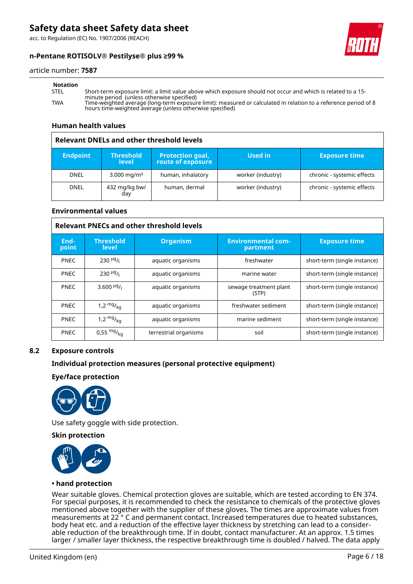acc. to Regulation (EC) No. 1907/2006 (REACH)



#### **n-Pentane ROTISOLV® Pestilyse® plus ≥99 %**

#### article number: **7587**

STEL Short-term exposure limit: a limit value above which exposure should not occur and which is related to a 15 minute period (unless otherwise specified) TWA Time-weighted average (long-term exposure limit): measured or calculated in relation to a reference period of 8 hours time-weighted average (unless otherwise specified)

#### **Human health values**

#### **Relevant DNELs and other threshold levels Endpoint Threshold level Protection goal, route of exposure Used in Exposure time** DNEL | 3.000 mg/m<sup>3</sup> | human, inhalatory | worker (industry) | chronic - systemic effects DNEL | 432 mg/kg bw/ day human, dermal  $\vert$  worker (industry)  $\vert$  chronic - systemic effects

#### **Environmental values**

| <b>Relevant PNECs and other threshold levels</b> |                                    |                       |                                       |                              |  |  |
|--------------------------------------------------|------------------------------------|-----------------------|---------------------------------------|------------------------------|--|--|
| End-<br>point                                    | <b>Threshold</b><br>level          | <b>Organism</b>       | <b>Environmental com-</b><br>partment | <b>Exposure time</b>         |  |  |
| <b>PNEC</b>                                      | $230$ <sup>µg</sup> / <sub>1</sub> | aquatic organisms     | freshwater                            | short-term (single instance) |  |  |
| <b>PNEC</b>                                      | $230$ <sup>µg</sup> / <sub>1</sub> | aquatic organisms     | marine water                          | short-term (single instance) |  |  |
| <b>PNEC</b>                                      | 3.600 $\frac{\mu g}{I}$            | aquatic organisms     | sewage treatment plant<br>(STP)       | short-term (single instance) |  |  |
| <b>PNEC</b>                                      | 1,2 $mg/kq$                        | aquatic organisms     | freshwater sediment                   | short-term (single instance) |  |  |
| <b>PNEC</b>                                      | 1,2 $mg/_{kq}$                     | aquatic organisms     | marine sediment                       | short-term (single instance) |  |  |
| <b>PNEC</b>                                      | 0,55 $mg/kq$                       | terrestrial organisms | soil                                  | short-term (single instance) |  |  |

#### **8.2 Exposure controls**

#### **Individual protection measures (personal protective equipment)**

**Eye/face protection**



Use safety goggle with side protection.

#### **Skin protection**



#### **• hand protection**

Wear suitable gloves. Chemical protection gloves are suitable, which are tested according to EN 374. For special purposes, it is recommended to check the resistance to chemicals of the protective gloves mentioned above together with the supplier of these gloves. The times are approximate values from measurements at 22 ° C and permanent contact. Increased temperatures due to heated substances, body heat etc. and a reduction of the effective layer thickness by stretching can lead to a considerable reduction of the breakthrough time. If in doubt, contact manufacturer. At an approx. 1.5 times larger / smaller layer thickness, the respective breakthrough time is doubled / halved. The data apply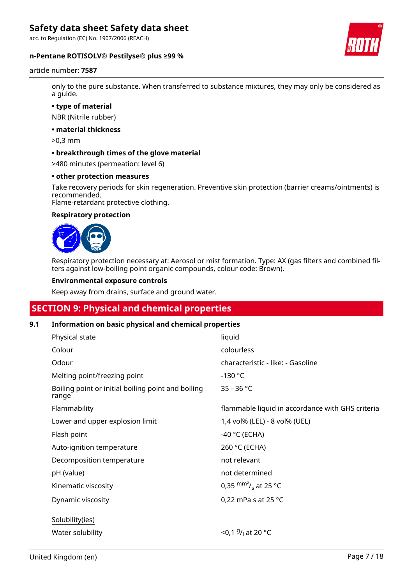acc. to Regulation (EC) No. 1907/2006 (REACH)

#### **n-Pentane ROTISOLV® Pestilyse® plus ≥99 %**



article number: **7587**

only to the pure substance. When transferred to substance mixtures, they may only be considered as a guide.

**• type of material**

NBR (Nitrile rubber)

**• material thickness**

>0,3 mm

#### **• breakthrough times of the glove material**

>480 minutes (permeation: level 6)

#### **• other protection measures**

Take recovery periods for skin regeneration. Preventive skin protection (barrier creams/ointments) is recommended.

Flame-retardant protective clothing.

#### **Respiratory protection**



Respiratory protection necessary at: Aerosol or mist formation. Type: AX (gas filters and combined filters against low-boiling point organic compounds, colour code: Brown).

#### **Environmental exposure controls**

Keep away from drains, surface and ground water.

### **SECTION 9: Physical and chemical properties**

#### **9.1 Information on basic physical and chemical properties**

| Physical state                                              | liquid                                           |
|-------------------------------------------------------------|--------------------------------------------------|
| Colour                                                      | colourless                                       |
| Odour                                                       | characteristic - like: - Gasoline                |
| Melting point/freezing point                                | $-130$ °C                                        |
| Boiling point or initial boiling point and boiling<br>range | $35 - 36 °C$                                     |
| Flammability                                                | flammable liquid in accordance with GHS criteria |
| Lower and upper explosion limit                             | 1,4 vol% (LEL) - 8 vol% (UEL)                    |
| Flash point                                                 | -40 °C (ECHA)                                    |
| Auto-ignition temperature                                   | 260 °C (ECHA)                                    |
| Decomposition temperature                                   | not relevant                                     |
| pH (value)                                                  | not determined                                   |
| Kinematic viscosity                                         | 0,35 $\text{mm}^2$ / <sub>s</sub> at 25 °C       |
| Dynamic viscosity                                           | 0,22 mPa s at 25 $^{\circ}$ C                    |
| Solubility(ies)                                             |                                                  |
| Water solubility                                            | <0,1 $9/1$ at 20 °C                              |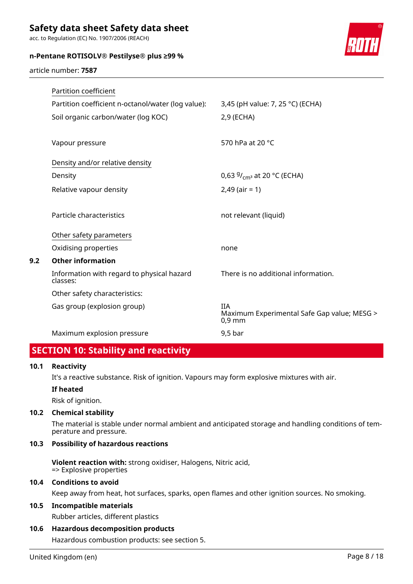acc. to Regulation (EC) No. 1907/2006 (REACH)

| n-Pentane ROTISOLV® Pestilyse® plus ≥99 % |  |  |
|-------------------------------------------|--|--|
|                                           |  |  |



article number: **7587**

| Partition coefficient                                  |                                                                       |
|--------------------------------------------------------|-----------------------------------------------------------------------|
| Partition coefficient n-octanol/water (log value):     | 3,45 (pH value: 7, 25 °C) (ECHA)                                      |
| Soil organic carbon/water (log KOC)                    | 2,9 (ECHA)                                                            |
|                                                        |                                                                       |
| Vapour pressure                                        | 570 hPa at 20 °C                                                      |
| Density and/or relative density                        |                                                                       |
| Density                                                | 0,63 $9/_{cm^3}$ at 20 °C (ECHA)                                      |
| Relative vapour density                                | $2,49$ (air = 1)                                                      |
|                                                        |                                                                       |
| Particle characteristics                               | not relevant (liquid)                                                 |
| Other safety parameters                                |                                                                       |
| Oxidising properties                                   | none                                                                  |
| <b>Other information</b>                               |                                                                       |
| Information with regard to physical hazard<br>classes: | There is no additional information.                                   |
| Other safety characteristics:                          |                                                                       |
| Gas group (explosion group)                            | <b>IIA</b><br>Maximum Experimental Safe Gap value; MESG ><br>$0.9$ mm |
| Maximum explosion pressure                             | $9,5$ bar                                                             |

# **SECTION 10: Stability and reactivity**

#### **10.1 Reactivity**

**9.2 Other information**

It's a reactive substance. Risk of ignition. Vapours may form explosive mixtures with air.

#### **If heated**

Risk of ignition.

#### **10.2 Chemical stability**

The material is stable under normal ambient and anticipated storage and handling conditions of temperature and pressure.

#### **10.3 Possibility of hazardous reactions**

**Violent reaction with:** strong oxidiser, Halogens, Nitric acid, => Explosive properties

#### **10.4 Conditions to avoid**

Keep away from heat, hot surfaces, sparks, open flames and other ignition sources. No smoking.

#### **10.5 Incompatible materials**

Rubber articles, different plastics

#### **10.6 Hazardous decomposition products**

Hazardous combustion products: see section 5.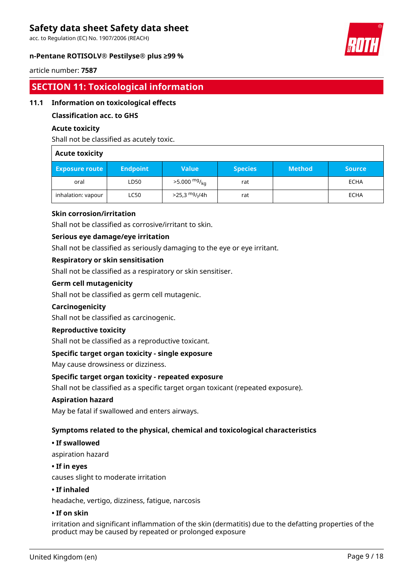acc. to Regulation (EC) No. 1907/2006 (REACH)

#### **n-Pentane ROTISOLV® Pestilyse® plus ≥99 %**



#### article number: **7587**

## **SECTION 11: Toxicological information**

#### **11.1 Information on toxicological effects**

#### **Classification acc. to GHS**

#### **Acute toxicity**

Shall not be classified as acutely toxic.

#### **Acute toxicity**

| <b>Exposure route</b> | <b>Endpoint</b> | <b>Value</b>                              | <b>Species</b> | <b>Method</b> | <b>Source</b> |
|-----------------------|-----------------|-------------------------------------------|----------------|---------------|---------------|
| oral                  | LD50            | $>5.000$ mg/ <sub>ka</sub>                | rat            |               | <b>ECHA</b>   |
| inhalation: vapour    | LC50            | $>$ 25,3 <sup>mg</sup> / <sub>l</sub> /4h | rat            |               | <b>ECHA</b>   |

#### **Skin corrosion/irritation**

Shall not be classified as corrosive/irritant to skin.

#### **Serious eye damage/eye irritation**

Shall not be classified as seriously damaging to the eye or eye irritant.

#### **Respiratory or skin sensitisation**

Shall not be classified as a respiratory or skin sensitiser.

#### **Germ cell mutagenicity**

Shall not be classified as germ cell mutagenic.

#### **Carcinogenicity**

Shall not be classified as carcinogenic.

#### **Reproductive toxicity**

Shall not be classified as a reproductive toxicant.

#### **Specific target organ toxicity - single exposure**

May cause drowsiness or dizziness.

#### **Specific target organ toxicity - repeated exposure**

Shall not be classified as a specific target organ toxicant (repeated exposure).

#### **Aspiration hazard**

May be fatal if swallowed and enters airways.

#### **Symptoms related to the physical, chemical and toxicological characteristics**

#### **• If swallowed**

aspiration hazard

#### **• If in eyes**

causes slight to moderate irritation

#### **• If inhaled**

headache, vertigo, dizziness, fatigue, narcosis

#### **• If on skin**

irritation and significant inflammation of the skin (dermatitis) due to the defatting properties of the product may be caused by repeated or prolonged exposure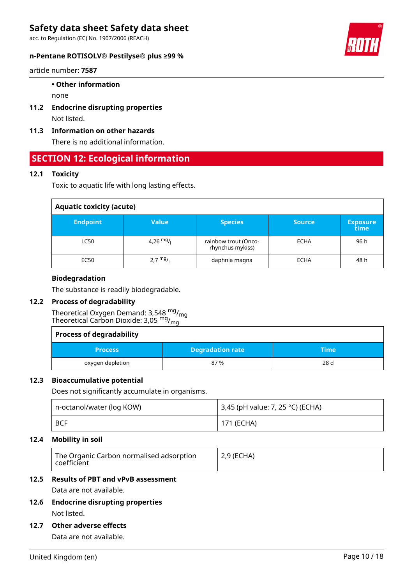acc. to Regulation (EC) No. 1907/2006 (REACH)

#### **n-Pentane ROTISOLV® Pestilyse® plus ≥99 %**



article number: **7587**

#### **• Other information**

none

- **11.2 Endocrine disrupting properties** Not listed.
- **11.3 Information on other hazards**

There is no additional information.

### **SECTION 12: Ecological information**

#### **12.1 Toxicity**

Toxic to aquatic life with long lasting effects.

| <b>Aquatic toxicity (acute)</b> |                    |                                          |               |                         |
|---------------------------------|--------------------|------------------------------------------|---------------|-------------------------|
| <b>Endpoint</b>                 | Value              | <b>Species</b>                           | <b>Source</b> | <b>Exposure</b><br>time |
| <b>LC50</b>                     | 4,26 $mg/$         | rainbow trout (Onco-<br>rhynchus mykiss) | <b>ECHA</b>   | 96 h                    |
| EC50                            | $2.7 \frac{mg}{l}$ | daphnia magna                            | <b>ECHA</b>   | 48 h                    |

#### **Biodegradation**

The substance is readily biodegradable.

#### **12.2 Process of degradability**

Theoretical Oxygen Demand: 3,548 mg/<sub>mg</sub> Theoretical Carbon Dioxide: 3,05 mg/<sub>mg</sub>

| <b>Process of degradability</b> |                         |                 |
|---------------------------------|-------------------------|-----------------|
| <b>Process</b>                  | <b>Degradation rate</b> | <b>Time</b>     |
| oxygen depletion                | 87 %                    | 28 <sub>d</sub> |

#### **12.3 Bioaccumulative potential**

Does not significantly accumulate in organisms.

| n-octanol/water (log KOW) | 3,45 (pH value: 7, 25 °C) (ECHA) |
|---------------------------|----------------------------------|
| <b>BCF</b>                | 171 (ECHA)                       |

#### **12.4 Mobility in soil**

| The Organic Carbon normalised adsorption<br>$\mid$ coefficient | $\vert$ 2,9 (ECHA) |
|----------------------------------------------------------------|--------------------|
|                                                                |                    |

#### **12.5 Results of PBT and vPvB assessment**

Data are not available.

**12.6 Endocrine disrupting properties** Not listed.

#### **12.7 Other adverse effects**

Data are not available.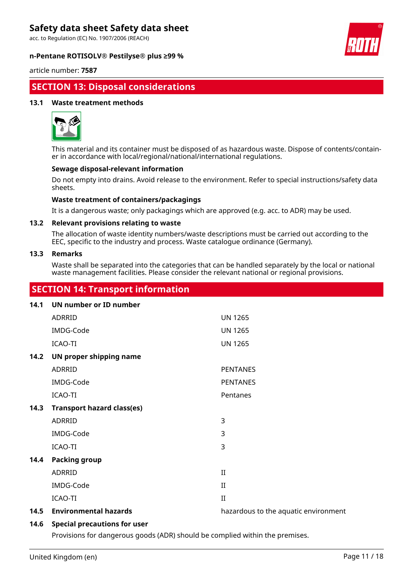acc. to Regulation (EC) No. 1907/2006 (REACH)





article number: **7587**

# **SECTION 13: Disposal considerations**

#### **13.1 Waste treatment methods**



This material and its container must be disposed of as hazardous waste. Dispose of contents/container in accordance with local/regional/national/international regulations.

#### **Sewage disposal-relevant information**

Do not empty into drains. Avoid release to the environment. Refer to special instructions/safety data sheets.

#### **Waste treatment of containers/packagings**

It is a dangerous waste; only packagings which are approved (e.g. acc. to ADR) may be used.

#### **13.2 Relevant provisions relating to waste**

The allocation of waste identity numbers/waste descriptions must be carried out according to the EEC, specific to the industry and process. Waste catalogue ordinance (Germany).

#### **13.3 Remarks**

Waste shall be separated into the categories that can be handled separately by the local or national waste management facilities. Please consider the relevant national or regional provisions.

### **SECTION 14: Transport information**

| 14.1 | UN number or ID number            |                                      |
|------|-----------------------------------|--------------------------------------|
|      | ADRRID                            | <b>UN 1265</b>                       |
|      | IMDG-Code                         | <b>UN 1265</b>                       |
|      | <b>ICAO-TI</b>                    | <b>UN 1265</b>                       |
| 14.2 | UN proper shipping name           |                                      |
|      | ADRRID                            | <b>PENTANES</b>                      |
|      | IMDG-Code                         | <b>PENTANES</b>                      |
|      | <b>ICAO-TI</b>                    | Pentanes                             |
| 14.3 | <b>Transport hazard class(es)</b> |                                      |
|      | ADRRID                            | 3                                    |
|      | IMDG-Code                         | 3                                    |
|      | <b>ICAO-TI</b>                    | 3                                    |
| 14.4 | <b>Packing group</b>              |                                      |
|      | ADRRID                            | $_{\rm II}$                          |
|      | IMDG-Code                         | $_{\rm II}$                          |
|      | <b>ICAO-TI</b>                    | $\mathbf{I}$                         |
| 14.5 | <b>Environmental hazards</b>      | hazardous to the aquatic environment |

#### **14.6 Special precautions for user**

Provisions for dangerous goods (ADR) should be complied within the premises.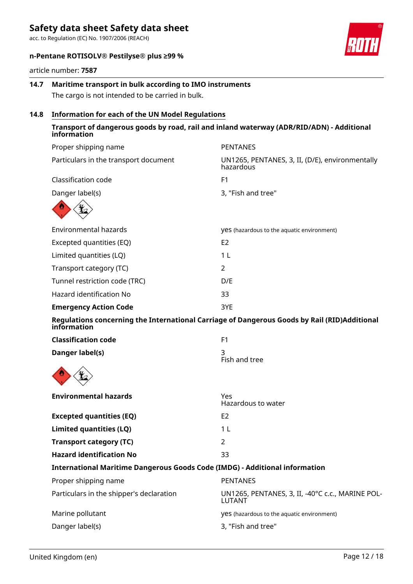acc. to Regulation (EC) No. 1907/2006 (REACH)

### **n-Pentane ROTISOLV® Pestilyse® plus ≥99 %**

article number: **7587**

### **14.7 Maritime transport in bulk according to IMO instruments** The cargo is not intended to be carried in bulk.

**14.8 Information for each of the UN Model Regulations**

### **Transport of dangerous goods by road, rail and inland waterway (ADR/RID/ADN) - Additional information**

| Proper shipping name                                                               | <b>PENTANES</b>                                                                              |
|------------------------------------------------------------------------------------|----------------------------------------------------------------------------------------------|
| Particulars in the transport document                                              | UN1265, PENTANES, 3, II, (D/E), environmentally<br>hazardous                                 |
| Classification code                                                                | F1                                                                                           |
| Danger label(s)                                                                    | 3, "Fish and tree"                                                                           |
|                                                                                    |                                                                                              |
| <b>Environmental hazards</b>                                                       | yes (hazardous to the aquatic environment)                                                   |
| Excepted quantities (EQ)                                                           | E <sub>2</sub>                                                                               |
| Limited quantities (LQ)                                                            | 1 <sub>L</sub>                                                                               |
| Transport category (TC)                                                            | $\overline{2}$                                                                               |
| Tunnel restriction code (TRC)                                                      | D/E                                                                                          |
| Hazard identification No                                                           | 33                                                                                           |
| <b>Emergency Action Code</b>                                                       | 3YE                                                                                          |
| information                                                                        | Regulations concerning the International Carriage of Dangerous Goods by Rail (RID)Additional |
| <b>Classification code</b>                                                         | F1                                                                                           |
| Danger label(s)                                                                    | 3<br>Fish and tree                                                                           |
|                                                                                    |                                                                                              |
| <b>Environmental hazards</b>                                                       | Yes<br>Hazardous to water                                                                    |
| <b>Excepted quantities (EQ)</b>                                                    | E <sub>2</sub>                                                                               |
| Limited quantities (LQ)                                                            | 1 <sub>L</sub>                                                                               |
| <b>Transport category (TC)</b>                                                     | $\overline{2}$                                                                               |
| <b>Hazard identification No</b>                                                    | 33                                                                                           |
| <b>International Maritime Dangerous Goods Code (IMDG) - Additional information</b> |                                                                                              |
| Proper shipping name                                                               | <b>PENTANES</b>                                                                              |
| Particulars in the shipper's declaration                                           | UN1265, PENTANES, 3, II, -40°C c.c., MARINE POL-<br><b>LUTANT</b>                            |
| Marine pollutant                                                                   | yes (hazardous to the aquatic environment)                                                   |
| Danger label(s)                                                                    | 3, "Fish and tree"                                                                           |
|                                                                                    |                                                                                              |

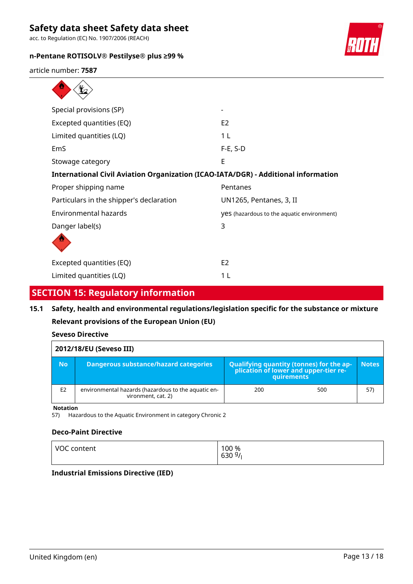acc. to Regulation (EC) No. 1907/2006 (REACH)

 $\overline{\wedge}$ 

### **n-Pentane ROTISOLV® Pestilyse® plus ≥99 %**



article number: **7587**  $\blacktriangle$ 

| Special provisions (SP)                  |                                                                                    |  |  |  |
|------------------------------------------|------------------------------------------------------------------------------------|--|--|--|
| Excepted quantities (EQ)                 | E <sub>2</sub>                                                                     |  |  |  |
| Limited quantities (LQ)                  | 1 L                                                                                |  |  |  |
| EmS                                      | $F-E$ , S-D                                                                        |  |  |  |
| Stowage category                         | E                                                                                  |  |  |  |
|                                          | International Civil Aviation Organization (ICAO-IATA/DGR) - Additional information |  |  |  |
| Proper shipping name                     | Pentanes                                                                           |  |  |  |
| Particulars in the shipper's declaration | UN1265, Pentanes, 3, II                                                            |  |  |  |
| Environmental hazards                    | yes (hazardous to the aquatic environment)                                         |  |  |  |
| Danger label(s)                          | 3                                                                                  |  |  |  |
|                                          |                                                                                    |  |  |  |
| Excepted quantities (EQ)                 | E <sub>2</sub>                                                                     |  |  |  |
| Limited quantities (LQ)                  | 1 L                                                                                |  |  |  |

### **SECTION 15: Regulatory information**

# **15.1 Safety, health and environmental regulations/legislation specific for the substance or mixture Relevant provisions of the European Union (EU)**

| Seveso Directive |  |
|------------------|--|
|                  |  |

| 2012/18/EU (Seveso III) |                                                                           |                                                                                                        |              |  |
|-------------------------|---------------------------------------------------------------------------|--------------------------------------------------------------------------------------------------------|--------------|--|
| <b>No</b>               | Dangerous substance/hazard categories                                     | <b>Qualifying quantity (tonnes) for the ap-</b><br>plication of lower and upper-tier re-<br>quirements | <b>Notes</b> |  |
| E <sub>2</sub>          | environmental hazards (hazardous to the aquatic en-<br>vironment, cat. 2) | 200<br>500                                                                                             | 57)          |  |
| <b>Blatation</b>        |                                                                           |                                                                                                        |              |  |

**Notation**

57) Hazardous to the Aquatic Environment in category Chronic 2

#### **Deco-Paint Directive**

| 630 $9/1$ | VOC content | 100 % |
|-----------|-------------|-------|
|-----------|-------------|-------|

#### **Industrial Emissions Directive (IED)**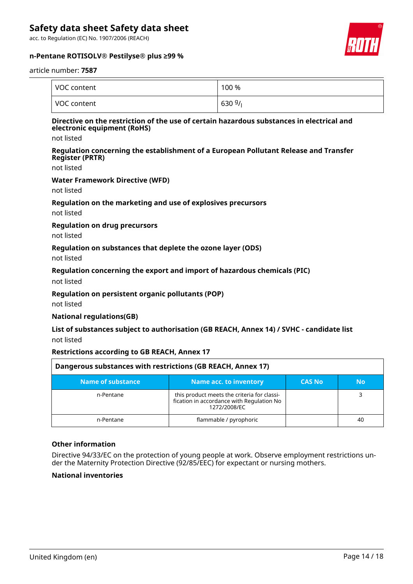acc. to Regulation (EC) No. 1907/2006 (REACH)



#### **n-Pentane ROTISOLV® Pestilyse® plus ≥99 %**

#### article number: **7587**

| VOC content | 100 %     |
|-------------|-----------|
| VOC content | 630 $9/1$ |

#### **Directive on the restriction of the use of certain hazardous substances in electrical and electronic equipment (RoHS)**

not listed

#### **Regulation concerning the establishment of a European Pollutant Release and Transfer Register (PRTR)**

not listed

#### **Water Framework Directive (WFD)**

not listed

#### **Regulation on the marketing and use of explosives precursors**

not listed

#### **Regulation on drug precursors**

not listed

#### **Regulation on substances that deplete the ozone layer (ODS)**

not listed

#### **Regulation concerning the export and import of hazardous chemicals (PIC)**

not listed

#### **Regulation on persistent organic pollutants (POP)**

not listed

#### **National regulations(GB)**

#### **List of substances subject to authorisation (GB REACH, Annex 14) / SVHC - candidate list** not listed

#### **Restrictions according to GB REACH, Annex 17**

| Dangerous substances with restrictions (GB REACH, Annex 17) |                                                                                                          |               |     |
|-------------------------------------------------------------|----------------------------------------------------------------------------------------------------------|---------------|-----|
| Name of substance                                           | <b>Name acc. to inventory</b>                                                                            | <b>CAS No</b> | No. |
| n-Pentane                                                   | this product meets the criteria for classi-<br>fication in accordance with Regulation No<br>1272/2008/EC |               |     |
| n-Pentane                                                   | flammable / pyrophoric                                                                                   |               | 40  |

#### **Other information**

Directive 94/33/EC on the protection of young people at work. Observe employment restrictions under the Maternity Protection Directive (92/85/EEC) for expectant or nursing mothers.

#### **National inventories**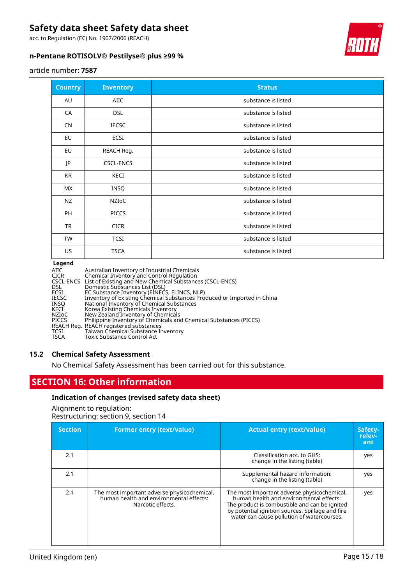acc. to Regulation (EC) No. 1907/2006 (REACH)

#### **n-Pentane ROTISOLV® Pestilyse® plus ≥99 %**



#### article number: **7587**

| <b>Country</b> | <b>Inventory</b> | <b>Status</b>       |
|----------------|------------------|---------------------|
| AU             | AIIC             | substance is listed |
| CA             | <b>DSL</b>       | substance is listed |
| <b>CN</b>      | <b>IECSC</b>     | substance is listed |
| EU             | <b>ECSI</b>      | substance is listed |
| EU             | REACH Reg.       | substance is listed |
| JP             | <b>CSCL-ENCS</b> | substance is listed |
| KR             | KECI             | substance is listed |
| МX             | INSQ             | substance is listed |
| NZ             | <b>NZIOC</b>     | substance is listed |
| PH             | <b>PICCS</b>     | substance is listed |
| <b>TR</b>      | <b>CICR</b>      | substance is listed |
| <b>TW</b>      | <b>TCSI</b>      | substance is listed |
| US             | <b>TSCA</b>      | substance is listed |

#### **Legend**

| AIIC<br><b>CICR</b> | Australian Inventory of Industrial Chemicals<br>Chemical Inventory and Control Regulation |
|---------------------|-------------------------------------------------------------------------------------------|
|                     | CSCL-ENCS List of Existing and New Chemical Substances (CSCL-ENCS)                        |
| <b>DSL</b>          | Domestic Substances List (DSL)                                                            |
| ECSI                | EC Substance Inventory (EINECS, ELINCS, NLP)                                              |
| <b>IECSC</b>        | Inventory of Existing Chemical Substances Produced or Imported in China                   |
| <b>INSO</b>         | National Inventory of Chemical Substances                                                 |
| KECI                | Korea Existing Chemicals Inventory                                                        |
| NZIoC               | New Zealand Inventory of Chemicals                                                        |
| PICCS               | Philippine Inventory of Chemicals and Chemical Substances (PICCS)                         |
|                     | REACH Reg. REACH registered substances                                                    |
| TCSI                | Taiwan Chemical Substance Inventory                                                       |
| <b>TSCA</b>         | <b>Toxic Substance Control Act</b>                                                        |

#### **15.2 Chemical Safety Assessment**

No Chemical Safety Assessment has been carried out for this substance.

### **SECTION 16: Other information**

#### **Indication of changes (revised safety data sheet)**

Alignment to regulation: Restructuring: section 9, section 14

| <b>Section</b> | <b>Former entry (text/value)</b>                                                                            | <b>Actual entry (text/value)</b>                                                                                                                                                                                                          | Safety-<br>relev-<br>ant |
|----------------|-------------------------------------------------------------------------------------------------------------|-------------------------------------------------------------------------------------------------------------------------------------------------------------------------------------------------------------------------------------------|--------------------------|
| 2.1            |                                                                                                             | Classification acc. to GHS:<br>change in the listing (table)                                                                                                                                                                              | yes                      |
| 2.1            |                                                                                                             | Supplemental hazard information:<br>change in the listing (table)                                                                                                                                                                         | yes                      |
| 2.1            | The most important adverse physicochemical,<br>human health and environmental effects:<br>Narcotic effects. | The most important adverse physicochemical,<br>human health and environmental effects:<br>The product is combustible and can be ignited<br>by potential ignition sources. Spillage and fire<br>water can cause pollution of watercourses. | yes                      |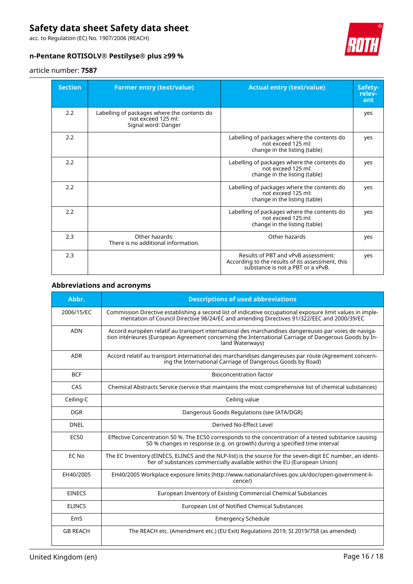acc. to Regulation (EC) No. 1907/2006 (REACH)

### **n-Pentane ROTISOLV® Pestilyse® plus ≥99 %**

#### article number: **7587**

| <b>Section</b> | <b>Former entry (text/value)</b>                                                         | <b>Actual entry (text/value)</b>                                                                                             | Safety-<br>relev-<br>ant |
|----------------|------------------------------------------------------------------------------------------|------------------------------------------------------------------------------------------------------------------------------|--------------------------|
| 2.2            | Labelling of packages where the contents do<br>not exceed 125 ml:<br>Signal word: Danger |                                                                                                                              | yes                      |
| 2.2            |                                                                                          | Labelling of packages where the contents do<br>not exceed 125 ml:<br>change in the listing (table)                           | yes                      |
| 2.2            |                                                                                          | Labelling of packages where the contents do<br>not exceed 125 ml:<br>change in the listing (table)                           | yes                      |
| 2.2            |                                                                                          | Labelling of packages where the contents do<br>not exceed 125 ml:<br>change in the listing (table)                           | yes                      |
| 2.2            |                                                                                          | Labelling of packages where the contents do<br>not exceed 125 ml:<br>change in the listing (table)                           | yes                      |
| 2.3            | Other hazards:<br>There is no additional information.                                    | Other hazards                                                                                                                | yes                      |
| 2.3            |                                                                                          | Results of PBT and vPvB assessment:<br>According to the results of its assessment, this<br>substance is not a PBT or a vPvB. | yes                      |

#### **Abbreviations and acronyms**

| Abbr.           | <b>Descriptions of used abbreviations</b>                                                                                                                                                                                       |
|-----------------|---------------------------------------------------------------------------------------------------------------------------------------------------------------------------------------------------------------------------------|
| 2006/15/EC      | Commission Directive establishing a second list of indicative occupational exposure limit values in imple-<br>mentation of Council Directive 98/24/EC and amending Directives 91/322/EEC and 2000/39/EC                         |
| <b>ADN</b>      | Accord européen relatif au transport international des marchandises dangereuses par voies de naviga-<br>tion intérieures (European Agreement concerning the International Carriage of Dangerous Goods by In-<br>land Waterways) |
| <b>ADR</b>      | Accord relatif au transport international des marchandises dangereuses par route (Agreement concern-<br>ing the International Carriage of Dangerous Goods by Road)                                                              |
| <b>BCF</b>      | <b>Bioconcentration factor</b>                                                                                                                                                                                                  |
| CAS             | Chemical Abstracts Service (service that maintains the most comprehensive list of chemical substances)                                                                                                                          |
| Ceiling-C       | Ceiling value                                                                                                                                                                                                                   |
| <b>DGR</b>      | Dangerous Goods Regulations (see IATA/DGR)                                                                                                                                                                                      |
| <b>DNEL</b>     | Derived No-Effect Level                                                                                                                                                                                                         |
| EC50            | Effective Concentration 50 %. The EC50 corresponds to the concentration of a tested substance causing<br>50 % changes in response (e.g. on growth) during a specified time interval                                             |
| EC No           | The EC Inventory (EINECS, ELINCS and the NLP-list) is the source for the seven-digit EC number, an identi-<br>fier of substances commercially available within the EU (European Union)                                          |
| EH40/2005       | EH40/2005 Workplace exposure limits (http://www.nationalarchives.gov.uk/doc/open-government-li-<br>cence/)                                                                                                                      |
| <b>EINECS</b>   | European Inventory of Existing Commercial Chemical Substances                                                                                                                                                                   |
| <b>ELINCS</b>   | European List of Notified Chemical Substances                                                                                                                                                                                   |
| EmS             | <b>Emergency Schedule</b>                                                                                                                                                                                                       |
| <b>GB REACH</b> | The REACH etc. (Amendment etc.) (EU Exit) Regulations 2019, SI 2019/758 (as amended)                                                                                                                                            |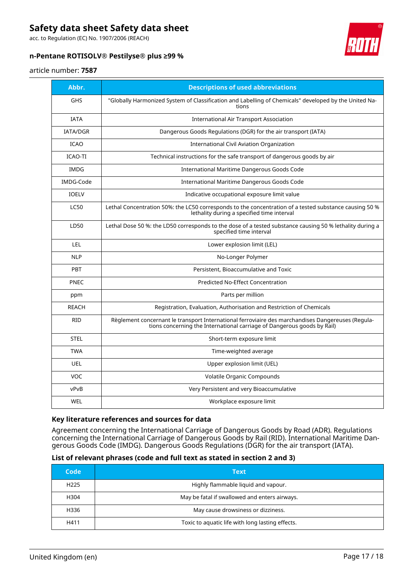acc. to Regulation (EC) No. 1907/2006 (REACH)

#### **n-Pentane ROTISOLV® Pestilyse® plus ≥99 %**



#### article number: **7587**

| Abbr.           | <b>Descriptions of used abbreviations</b>                                                                                                                                    |
|-----------------|------------------------------------------------------------------------------------------------------------------------------------------------------------------------------|
| <b>GHS</b>      | "Globally Harmonized System of Classification and Labelling of Chemicals" developed by the United Na-<br>tions                                                               |
| <b>IATA</b>     | <b>International Air Transport Association</b>                                                                                                                               |
| <b>IATA/DGR</b> | Dangerous Goods Regulations (DGR) for the air transport (IATA)                                                                                                               |
| <b>ICAO</b>     | <b>International Civil Aviation Organization</b>                                                                                                                             |
| ICAO-TI         | Technical instructions for the safe transport of dangerous goods by air                                                                                                      |
| <b>IMDG</b>     | International Maritime Dangerous Goods Code                                                                                                                                  |
| IMDG-Code       | International Maritime Dangerous Goods Code                                                                                                                                  |
| <b>IOELV</b>    | Indicative occupational exposure limit value                                                                                                                                 |
| <b>LC50</b>     | Lethal Concentration 50%: the LC50 corresponds to the concentration of a tested substance causing 50 %<br>lethality during a specified time interval                         |
| LD50            | Lethal Dose 50 %: the LD50 corresponds to the dose of a tested substance causing 50 % lethality during a<br>specified time interval                                          |
| LEL             | Lower explosion limit (LEL)                                                                                                                                                  |
| <b>NLP</b>      | No-Longer Polymer                                                                                                                                                            |
| PBT             | Persistent, Bioaccumulative and Toxic                                                                                                                                        |
| PNEC            | Predicted No-Effect Concentration                                                                                                                                            |
| ppm             | Parts per million                                                                                                                                                            |
| <b>REACH</b>    | Registration, Evaluation, Authorisation and Restriction of Chemicals                                                                                                         |
| <b>RID</b>      | Règlement concernant le transport International ferroviaire des marchandises Dangereuses (Regula-<br>tions concerning the International carriage of Dangerous goods by Rail) |
| <b>STEL</b>     | Short-term exposure limit                                                                                                                                                    |
| <b>TWA</b>      | Time-weighted average                                                                                                                                                        |
| <b>UEL</b>      | Upper explosion limit (UEL)                                                                                                                                                  |
| <b>VOC</b>      | Volatile Organic Compounds                                                                                                                                                   |
| vPvB            | Very Persistent and very Bioaccumulative                                                                                                                                     |
| WEL             | Workplace exposure limit                                                                                                                                                     |

#### **Key literature references and sources for data**

Agreement concerning the International Carriage of Dangerous Goods by Road (ADR). Regulations concerning the International Carriage of Dangerous Goods by Rail (RID). International Maritime Dangerous Goods Code (IMDG). Dangerous Goods Regulations (DGR) for the air transport (IATA).

#### **List of relevant phrases (code and full text as stated in section 2 and 3)**

| Code             | Text                                             |
|------------------|--------------------------------------------------|
| H <sub>225</sub> | Highly flammable liquid and vapour.              |
| H304             | May be fatal if swallowed and enters airways.    |
| H336             | May cause drowsiness or dizziness.               |
| H411             | Toxic to aquatic life with long lasting effects. |